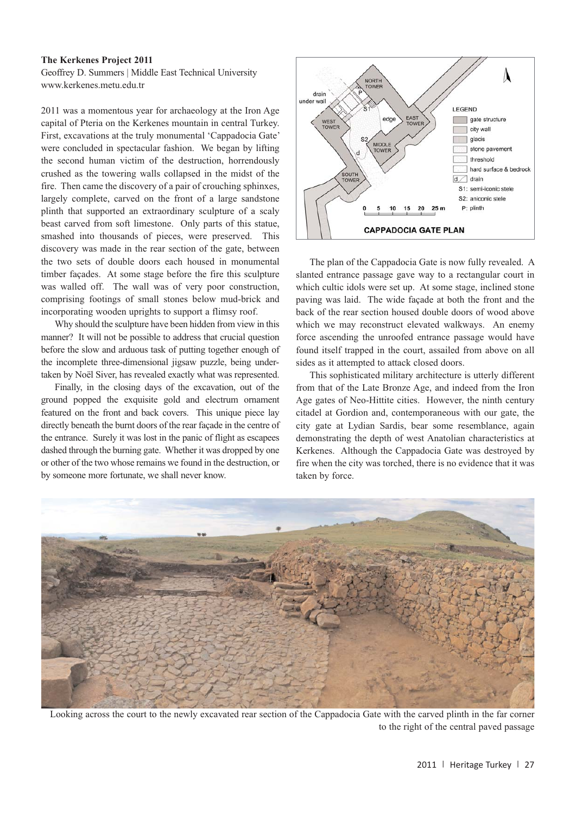Heritage Turkey volume 1 (2011) pp. 27-28 | doi:10.18866/biaa2015.017 | published online: 27 October 2015 © British Institute at Ankara

## **The Kerkenes Project 2011**

Geoffrey D. Summers | Middle East Technical University www.kerkenes.metu.edu.tr

2011 was a momentous year for archaeology at the Iron Age capital of Pteria on the Kerkenes mountain in central Turkey. First, excavations at the truly monumental 'Cappadocia Gate' were concluded in spectacular fashion. We began by lifting the second human victim of the destruction, horrendously crushed as the towering walls collapsed in the midst of the fire. Then came the discovery of a pair of crouching sphinxes, largely complete, carved on the front of a large sandstone plinth that supported an extraordinary sculpture of a scaly beast carved from soft limestone. Only parts of this statue, smashed into thousands of pieces, were preserved. This discovery was made in the rear section of the gate, between the two sets of double doors each housed in monumental timber façades. At some stage before the fire this sculpture was walled off. The wall was of very poor construction, comprising footings of small stones below mud-brick and incorporating wooden uprights to support a flimsy roof.

Why should the sculpture have been hidden from view in this manner? It will not be possible to address that crucial question before the slow and arduous task of putting together enough of the incomplete three-dimensional jigsaw puzzle, being undertaken by Noël Siver, has revealed exactly what was represented.

Finally, in the closing days of the excavation, out of the ground popped the exquisite gold and electrum ornament featured on the front and back covers. This unique piece lay directly beneath the burnt doors of the rear façade in the centre of the entrance. Surely it was lost in the panic of flight as escapees dashed through the burning gate. Whether it was dropped by one or other of the two whose remains we found in the destruction, or by someone more fortunate, we shall never know.



The plan of the Cappadocia Gate is now fully revealed. A slanted entrance passage gave way to a rectangular court in which cultic idols were set up. At some stage, inclined stone paving was laid. The wide façade at both the front and the back of the rear section housed double doors of wood above which we may reconstruct elevated walkways. An enemy force ascending the unroofed entrance passage would have found itself trapped in the court, assailed from above on all sides as it attempted to attack closed doors.

This sophisticated military architecture is utterly different from that of the Late Bronze Age, and indeed from the Iron Age gates of Neo-Hittite cities. However, the ninth century citadel at Gordion and, contemporaneous with our gate, the city gate at Lydian Sardis, bear some resemblance, again demonstrating the depth of west Anatolian characteristics at Kerkenes. Although the Cappadocia Gate was destroyed by fire when the city was torched, there is no evidence that it was taken by force.



Looking across the court to the newly excavated rear section of the Cappadocia Gate with the carved plinth in the far corner to the right of the central paved passage